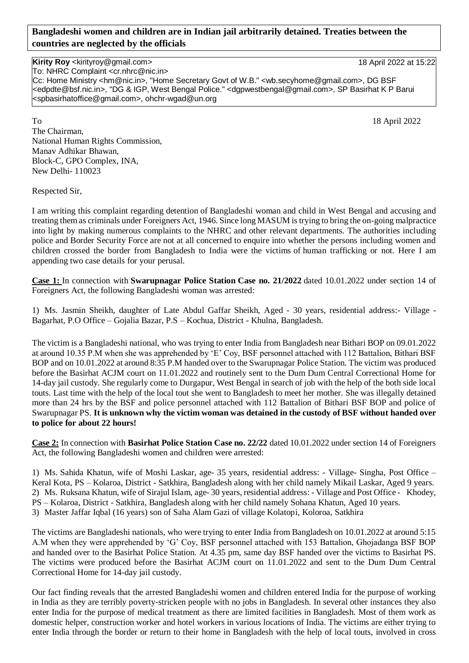## **Bangladeshi women and children are in Indian jail arbitrarily detained. Treaties between the countries are neglected by the officials**

## **Kirity Roy** <kirityroy@gmail.com> 18 April 2022 at 15:22

To: NHRC Complaint <cr.nhrc@nic.in>

Cc: Home Ministry <hm@nic.in>, "Home Secretary Govt of W.B." <wb.secyhome@gmail.com>, DG BSF <edpdte@bsf.nic.in>, "DG & IGP, West Bengal Police." <dgpwestbengal@gmail.com>, SP Basirhat K P Barui <spbasirhatoffice@gmail.com>, ohchr-wgad@un.org

To 18 April 2022 The Chairman, National Human Rights Commission, Manav Adhikar Bhawan, Block-C, GPO Complex, INA, New Delhi- 110023

Respected Sir,

I am writing this complaint regarding detention of Bangladeshi woman and child in West Bengal and accusing and treating them as criminals under Foreigners Act, 1946. Since long MASUM is trying to bring the on-going malpractice into light by making numerous complaints to the NHRC and other relevant departments. The authorities including police and Border Security Force are not at all concerned to enquire into whether the persons including women and children crossed the border from Bangladesh to India were the victims of human trafficking or not. Here I am appending two case details for your perusal.

**Case 1:** In connection with **Swarupnagar Police Station Case no. 21/2022** dated 10.01.2022 under section 14 of Foreigners Act, the following Bangladeshi woman was arrested:

1) Ms. Jasmin Sheikh, daughter of Late Abdul Gaffar Sheikh, Aged - 30 years, residential address:- Village - Bagarhat, P.O Office – Gojalia Bazar, P.S – Kochua, District - Khulna, Bangladesh.

The victim is a Bangladeshi national, who was trying to enter India from Bangladesh near Bithari BOP on 09.01.2022 at around 10.35 P.M when she was apprehended by 'E' Coy, BSF personnel attached with 112 Battalion, Bithari BSF BOP and on 10.01.2022 at around 8:35 P.M handed over to the Swarupnagar Police Station. The victim was produced before the Basirhat ACJM court on 11.01.2022 and routinely sent to the Dum Dum Central Correctional Home for 14-day jail custody. She regularly come to Durgapur, West Bengal in search of job with the help of the both side local touts. Last time with the help of the local tout she went to Bangladesh to meet her mother. She was illegally detained more than 24 hrs by the BSF and police personnel attached with 112 Battalion of Bithari BSF BOP and police of Swarupnagar PS. **It is unknown why the victim woman was detained in the custody of BSF without handed over to police for about 22 hours!**

**Case 2:** In connection with **Basirhat Police Station Case no. 22/22** dated 10.01.2022 under section 14 of Foreigners Act, the following Bangladeshi women and children were arrested:

1) Ms. Sahida Khatun, wife of Moshi Laskar, age- 35 years, residential address: - Village- Singha, Post Office – Keral Kota, PS – Kolaroa, District - Satkhira, Bangladesh along with her child namely Mikail Laskar, Aged 9 years. 2) Ms. Ruksana Khatun, wife of Sirajul Islam, age- 30 years, residential address: - Village and Post Office - Khodey, PS – Kolaroa, District - Satkhira, Bangladesh along with her child namely Sohana Khatun, Aged 10 years. 3) Master Jaffar Iqbal (16 years) son of Saha Alam Gazi of village Kolatopi, Koloroa, Satkhira

The victims are Bangladeshi nationals, who were trying to enter India from Bangladesh on 10.01.2022 at around 5:15 A.M when they were apprehended by 'G' Coy, BSF personnel attached with 153 Battalion, Ghojadanga BSF BOP and handed over to the Basirhat Police Station. At 4.35 pm, same day BSF handed over the victims to Basirhat PS. The victims were produced before the Basirhat ACJM court on 11.01.2022 and sent to the Dum Dum Central Correctional Home for 14-day jail custody.

Our fact finding reveals that the arrested Bangladeshi women and children entered India for the purpose of working in India as they are terribly poverty-stricken people with no jobs in Bangladesh. In several other instances they also enter India for the purpose of medical treatment as there are limited facilities in Bangladesh. Most of them work as domestic helper, construction worker and hotel workers in various locations of India. The victims are either trying to enter India through the border or return to their home in Bangladesh with the help of local touts, involved in cross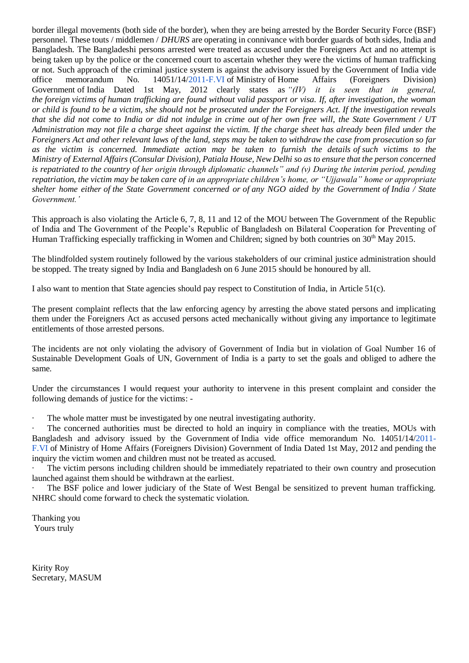border illegal movements (both side of the border), when they are being arrested by the Border Security Force (BSF) personnel. These touts / middlemen / *DHURS* are operating in connivance with border guards of both sides, India and Bangladesh. The Bangladeshi persons arrested were treated as accused under the Foreigners Act and no attempt is being taken up by the police or the concerned court to ascertain whether they were the victims of human trafficking or not. Such approach of the criminal justice system is against the advisory issued by the Government of India vide office memorandum No. 14051/14[/2011-F.VI](http://2011-f.vi/) of Ministry of Home Affairs (Foreigners Division) Government of India Dated 1st May, 2012 clearly states as *"(IV) it is seen that in general, the foreign victims of human trafficking are found without valid passport or visa. If, after investigation, the woman or child is found to be a victim, she should not be prosecuted under the Foreigners Act. If the investigation reveals that she did not come to India or did not indulge in crime out of her own free will, the State Government / UT Administration may not file a charge sheet against the victim. If the charge sheet has already been filed under the Foreigners Act and other relevant laws of the land, steps may be taken to withdraw the case from prosecution so far as the victim is concerned. Immediate action may be taken to furnish the details of such victims to the Ministry of External Affairs (Consular Division), Patiala House, New Delhi so as to ensure that the person concerned is repatriated to the country of her origin through diplomatic channels" and (v) During the interim period, pending repatriation, the victim may be taken care of in an appropriate children's home, or "Ujjawala" home or appropriate shelter home either of the State Government concerned or of any NGO aided by the Government of India / State Government.'*

This approach is also violating the Article 6, 7, 8, 11 and 12 of the MOU between The Government of the Republic of India and The Government of the People's Republic of Bangladesh on Bilateral Cooperation for Preventing of Human Trafficking especially trafficking in Women and Children; signed by both countries on 30<sup>th</sup> May 2015.

The blindfolded system routinely followed by the various stakeholders of our criminal justice administration should be stopped. The treaty signed by India and Bangladesh on 6 June 2015 should be honoured by all.

I also want to mention that State agencies should pay respect to Constitution of India, in Article 51(c).

The present complaint reflects that the law enforcing agency by arresting the above stated persons and implicating them under the Foreigners Act as accused persons acted mechanically without giving any importance to legitimate entitlements of those arrested persons.

The incidents are not only violating the advisory of Government of India but in violation of Goal Number 16 of Sustainable Development Goals of UN, Government of India is a party to set the goals and obliged to adhere the same.

Under the circumstances I would request your authority to intervene in this present complaint and consider the following demands of justice for the victims: -

The whole matter must be investigated by one neutral investigating authority.

The concerned authorities must be directed to hold an inquiry in compliance with the treaties, MOUs with Bangladesh and advisory issued by the Government of India vide office memorandum No. 14051/14[/2011-](http://2011-f.vi/) [F.VI](http://2011-f.vi/) of Ministry of Home Affairs (Foreigners Division) Government of India Dated 1st May, 2012 and pending the inquiry the victim women and children must not be treated as accused.

The victim persons including children should be immediately repatriated to their own country and prosecution launched against them should be withdrawn at the earliest.

The BSF police and lower judiciary of the State of West Bengal be sensitized to prevent human trafficking. NHRC should come forward to check the systematic violation.

Thanking you Yours truly

Kirity Roy Secretary, MASUM